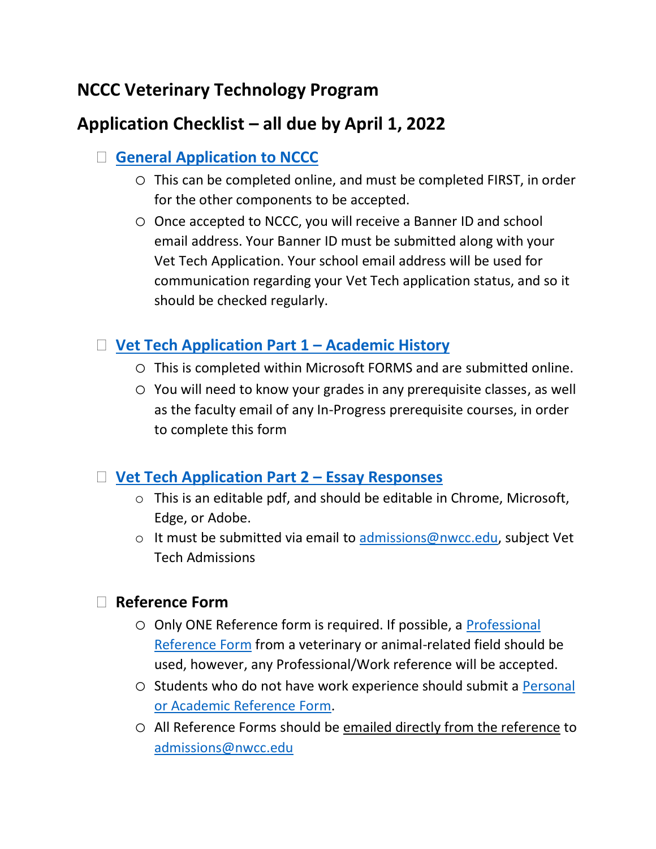# **NCCC Veterinary Technology Program**

# **Application Checklist – all due by April 1, 2022**

## **[General Application to NCCC](https://www.nwcc.edu/admissions/degree/)**

- o This can be completed online, and must be completed FIRST, in order for the other components to be accepted.
- o Once accepted to NCCC, you will receive a Banner ID and school email address. Your Banner ID must be submitted along with your Vet Tech Application. Your school email address will be used for communication regarding your Vet Tech application status, and so it should be checked regularly.

## **[Vet Tech Application Part 1](https://forms.office.com/r/ak7AR8CEEj) – Academic History**

- o This is completed within Microsoft FORMS and are submitted online.
- o You will need to know your grades in any prerequisite classes, as well as the faculty email of any In-Progress prerequisite courses, in order to complete this form

#### **[Vet Tech Application Part 2](https://www.nwcc.edu/wp-content/uploads/2022/01/Vet-Tech-Application-Part-2-Essay-Responses-1.pdf) – Essay Responses**

- o This is an editable pdf, and should be editable in Chrome, Microsoft, Edge, or Adobe.
- $\circ$  It must be submitted via email to [admissions@nwcc.edu,](mailto:admissions@nwcc.edu) subject Vet Tech Admissions

## **Reference Form**

- o Only ONE Reference form is required. If possible, a [Professional](https://www.nwcc.edu/wp-content/uploads/2022/01/Professional-Reference-Form.pdf) [Reference Form](https://www.nwcc.edu/wp-content/uploads/2022/01/Professional-Reference-Form.pdf) from a veterinary or animal-related field should be used, however, any Professional/Work reference will be accepted.
- o Students who do not have work experience should submit a [Personal](https://www.nwcc.edu/wp-content/uploads/2022/01/Personal-or-Academic-Reference-Form-2.pdf) [or Academic Reference](https://www.nwcc.edu/wp-content/uploads/2022/01/Personal-or-Academic-Reference-Form-2.pdf) Form.
- o All Reference Forms should be emailed directly from the reference to [admissions@nwcc.edu](mailto:admissions@nwcc.edu)